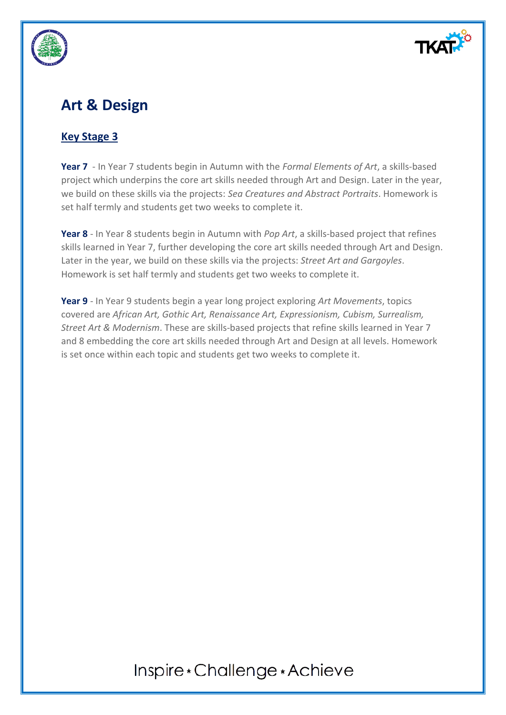

## **Art & Design**

### **Key Stage 3**

**Year 7** - In Year 7 students begin in Autumn with the *Formal Elements of Art*, a skills-based project which underpins the core art skills needed through Art and Design. Later in the year, we build on these skills via the projects: *Sea Creatures and Abstract Portraits*. Homework is set half termly and students get two weeks to complete it.

**Year 8** - In Year 8 students begin in Autumn with *Pop Art*, a skills-based project that refines skills learned in Year 7, further developing the core art skills needed through Art and Design. Later in the year, we build on these skills via the projects: *Street Art and Gargoyles*. Homework is set half termly and students get two weeks to complete it.

**Year 9** - In Year 9 students begin a year long project exploring *Art Movements*, topics covered are *African Art, Gothic Art, Renaissance Art, Expressionism, Cubism, Surrealism, Street Art & Modernism*. These are skills-based projects that refine skills learned in Year 7 and 8 embedding the core art skills needed through Art and Design at all levels. Homework is set once within each topic and students get two weeks to complete it.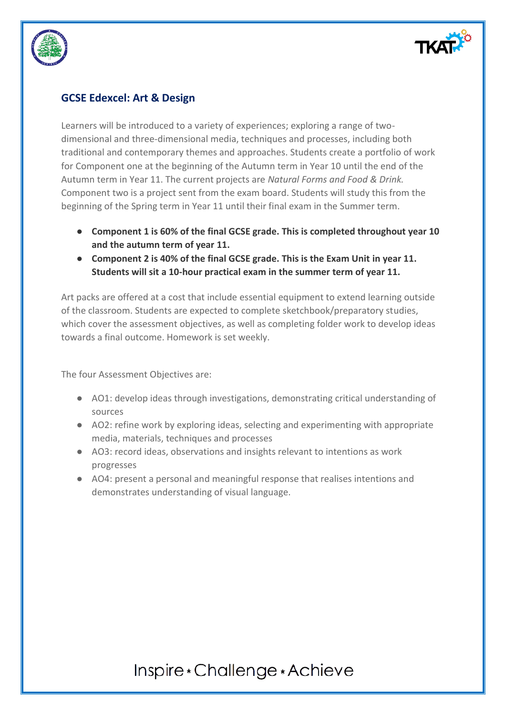

#### **GCSE Edexcel: Art & Design**

Learners will be introduced to a variety of experiences; exploring a range of twodimensional and three-dimensional media, techniques and processes, including both traditional and contemporary themes and approaches. Students create a portfolio of work for Component one at the beginning of the Autumn term in Year 10 until the end of the Autumn term in Year 11. The current projects are *Natural Forms and Food & Drink.*  Component two is a project sent from the exam board. Students will study this from the beginning of the Spring term in Year 11 until their final exam in the Summer term.

- **Component 1 is 60% of the final GCSE grade. This is completed throughout year 10 and the autumn term of year 11.**
- **Component 2 is 40% of the final GCSE grade. This is the Exam Unit in year 11. Students will sit a 10-hour practical exam in the summer term of year 11.**

Art packs are offered at a cost that include essential equipment to extend learning outside of the classroom. Students are expected to complete sketchbook/preparatory studies, which cover the assessment objectives, as well as completing folder work to develop ideas towards a final outcome. Homework is set weekly.

The four Assessment Objectives are:

- AO1: develop ideas through investigations, demonstrating critical understanding of sources
- AO2: refine work by exploring ideas, selecting and experimenting with appropriate media, materials, techniques and processes
- AO3: record ideas, observations and insights relevant to intentions as work progresses
- AO4: present a personal and meaningful response that realises intentions and demonstrates understanding of visual language.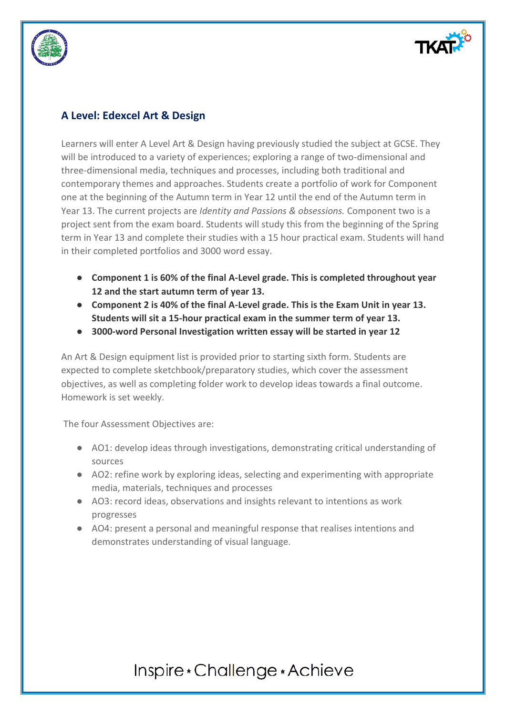



### **A Level: Edexcel Art & Design**

Learners will enter A Level Art & Design having previously studied the subject at GCSE. They will be introduced to a variety of experiences; exploring a range of two-dimensional and three-dimensional media, techniques and processes, including both traditional and contemporary themes and approaches. Students create a portfolio of work for Component one at the beginning of the Autumn term in Year 12 until the end of the Autumn term in Year 13. The current projects are *Identity and Passions & obsessions.* Component two is a project sent from the exam board. Students will study this from the beginning of the Spring term in Year 13 and complete their studies with a 15 hour practical exam. Students will hand in their completed portfolios and 3000 word essay.

- **Component 1 is 60% of the final A-Level grade. This is completed throughout year 12 and the start autumn term of year 13.**
- **Component 2 is 40% of the final A-Level grade. This is the Exam Unit in year 13. Students will sit a 15-hour practical exam in the summer term of year 13.**
- **3000-word Personal Investigation written essay will be started in year 12**

An Art & Design equipment list is provided prior to starting sixth form. Students are expected to complete sketchbook/preparatory studies, which cover the assessment objectives, as well as completing folder work to develop ideas towards a final outcome. Homework is set weekly.

The four Assessment Objectives are:

- AO1: develop ideas through investigations, demonstrating critical understanding of sources
- AO2: refine work by exploring ideas, selecting and experimenting with appropriate media, materials, techniques and processes
- AO3: record ideas, observations and insights relevant to intentions as work progresses
- AO4: present a personal and meaningful response that realises intentions and demonstrates understanding of visual language.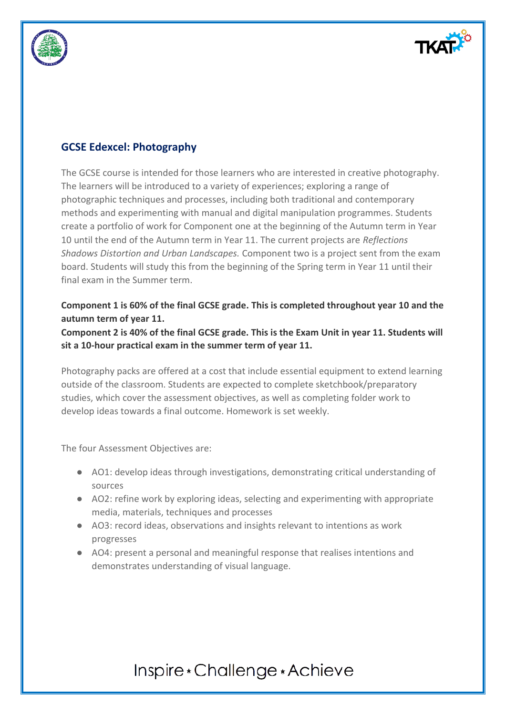



### **GCSE Edexcel: Photography**

The GCSE course is intended for those learners who are interested in creative photography. The learners will be introduced to a variety of experiences; exploring a range of photographic techniques and processes, including both traditional and contemporary methods and experimenting with manual and digital manipulation programmes. Students create a portfolio of work for Component one at the beginning of the Autumn term in Year 10 until the end of the Autumn term in Year 11. The current projects are *Reflections Shadows Distortion and Urban Landscapes.* Component two is a project sent from the exam board. Students will study this from the beginning of the Spring term in Year 11 until their final exam in the Summer term.

#### **Component 1 is 60% of the final GCSE grade. This is completed throughout year 10 and the autumn term of year 11.**

#### **Component 2 is 40% of the final GCSE grade. This is the Exam Unit in year 11. Students will sit a 10-hour practical exam in the summer term of year 11.**

Photography packs are offered at a cost that include essential equipment to extend learning outside of the classroom. Students are expected to complete sketchbook/preparatory studies, which cover the assessment objectives, as well as completing folder work to develop ideas towards a final outcome. Homework is set weekly.

The four Assessment Objectives are:

- AO1: develop ideas through investigations, demonstrating critical understanding of sources
- AO2: refine work by exploring ideas, selecting and experimenting with appropriate media, materials, techniques and processes
- AO3: record ideas, observations and insights relevant to intentions as work progresses
- AO4: present a personal and meaningful response that realises intentions and demonstrates understanding of visual language.